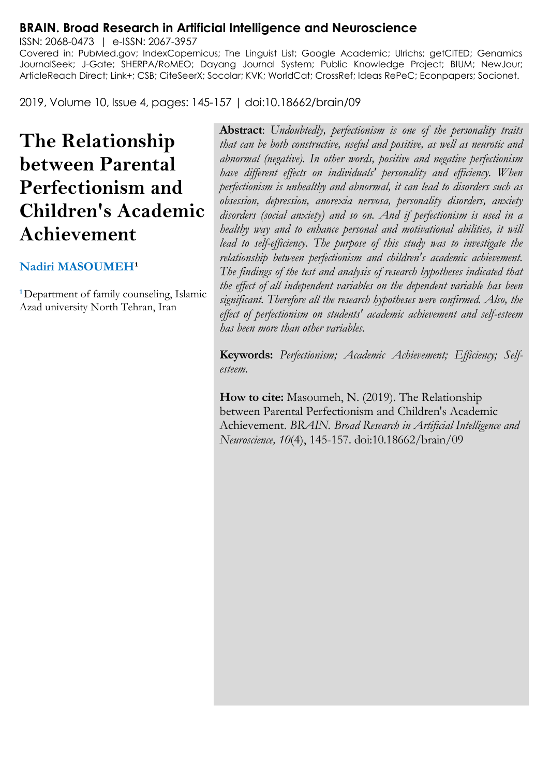#### **BRAIN. Broad Research in Artificial Intelligence and Neuroscience**

ISSN: 2068-0473 | e-ISSN: 2067-3957 Covered in: PubMed.gov; IndexCopernicus; The Linguist List; Google Academic; Ulrichs; getCITED; Genamics JournalSeek; J-Gate; SHERPA/RoMEO; Dayang Journal System; Public Knowledge Project; BIUM; NewJour; ArticleReach Direct; Link+; CSB; CiteSeerX; Socolar; KVK; WorldCat; CrossRef; Ideas RePeC; Econpapers; Socionet.

2019, Volume 10, Issue 4, pages: 145-157 | doi:10.18662/brain/09

# **The Relationship between Parental Perfectionism and Children's Academic Achievement**

#### **Nadiri MASOUMEH<sup>1</sup>**

**<sup>1</sup>**Department of family counseling, Islamic Azad university North Tehran, Iran

**Abstract**: *Undoubtedly, perfectionism is one of the personality traits that can be both constructive, useful and positive, as well as neurotic and abnormal (negative). In other words, positive and negative perfectionism have different effects on individuals' personality and efficiency. When perfectionism is unhealthy and abnormal, it can lead to disorders such as obsession, depression, anorexia nervosa, personality disorders, anxiety disorders (social anxiety) and so on. And if perfectionism is used in a healthy way and to enhance personal and motivational abilities, it will*  lead to self-efficiency. The purpose of this study was to investigate the *relationship between perfectionism and children's academic achievement. The findings of the test and analysis of research hypotheses indicated that the effect of all independent variables on the dependent variable has been significant. Therefore all the research hypotheses were confirmed. Also, the effect of perfectionism on students' academic achievement and self-esteem has been more than other variables.*

**Keywords:** *Perfectionism; Academic Achievement; Efficiency; Selfesteem.*

**How to cite:** Masoumeh, N. (2019). The Relationship between Parental Perfectionism and Children's Academic Achievement. *BRAIN. Broad Research in Artificial Intelligence and Neuroscience, 10*(4), 145-157. doi:10.18662/brain/09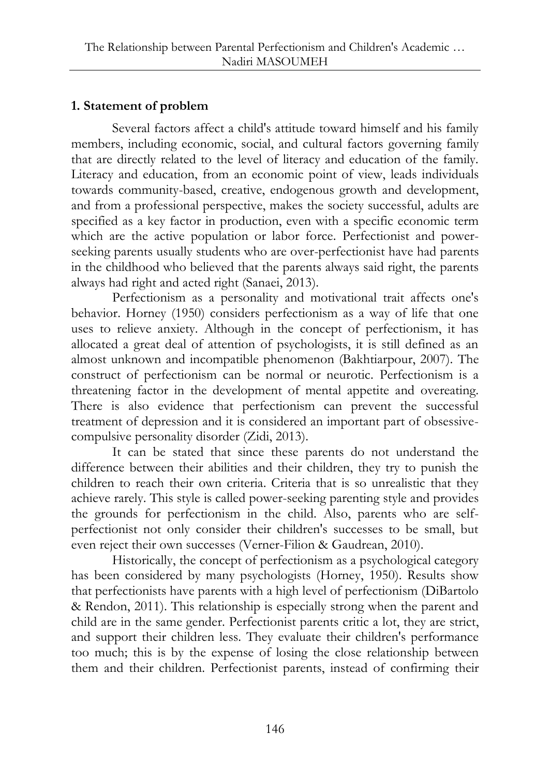# **1. Statement of problem**

Several factors affect a child's attitude toward himself and his family members, including economic, social, and cultural factors governing family that are directly related to the level of literacy and education of the family. Literacy and education, from an economic point of view, leads individuals towards community-based, creative, endogenous growth and development, and from a professional perspective, makes the society successful, adults are specified as a key factor in production, even with a specific economic term which are the active population or labor force. Perfectionist and powerseeking parents usually students who are over-perfectionist have had parents in the childhood who believed that the parents always said right, the parents always had right and acted right (Sanaei, 2013).

Perfectionism as a personality and motivational trait affects one's behavior. Horney (1950) considers perfectionism as a way of life that one uses to relieve anxiety. Although in the concept of perfectionism, it has allocated a great deal of attention of psychologists, it is still defined as an almost unknown and incompatible phenomenon (Bakhtiarpour, 2007). The construct of perfectionism can be normal or neurotic. Perfectionism is a threatening factor in the development of mental appetite and overeating. There is also evidence that perfectionism can prevent the successful treatment of depression and it is considered an important part of obsessivecompulsive personality disorder (Zidi, 2013).

It can be stated that since these parents do not understand the difference between their abilities and their children, they try to punish the children to reach their own criteria. Criteria that is so unrealistic that they achieve rarely. This style is called power-seeking parenting style and provides the grounds for perfectionism in the child. Also, parents who are selfperfectionist not only consider their children's successes to be small, but even reject their own successes (Verner-Filion & Gaudrean, 2010).

Historically, the concept of perfectionism as a psychological category has been considered by many psychologists (Horney, 1950). Results show that perfectionists have parents with a high level of perfectionism (DiBartolo & Rendon, 2011). This relationship is especially strong when the parent and child are in the same gender. Perfectionist parents critic a lot, they are strict, and support their children less. They evaluate their children's performance too much; this is by the expense of losing the close relationship between them and their children. Perfectionist parents, instead of confirming their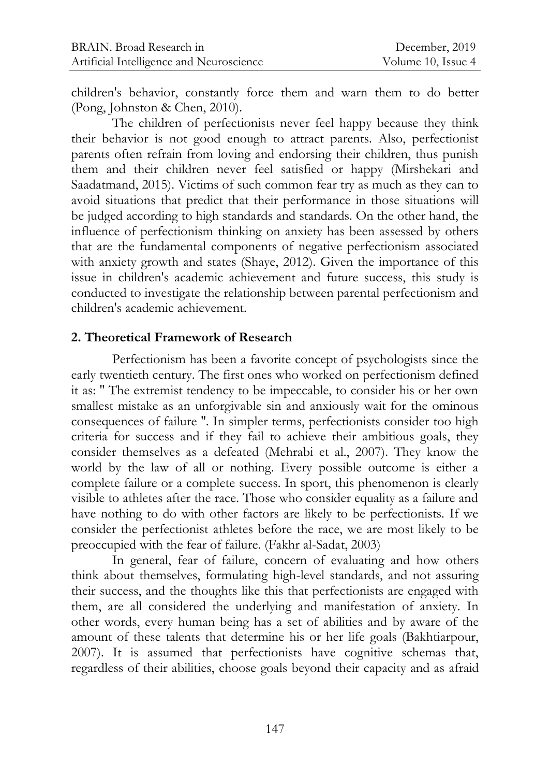children's behavior, constantly force them and warn them to do better (Pong, Johnston & Chen, 2010).

The children of perfectionists never feel happy because they think their behavior is not good enough to attract parents. Also, perfectionist parents often refrain from loving and endorsing their children, thus punish them and their children never feel satisfied or happy (Mirshekari and Saadatmand, 2015). Victims of such common fear try as much as they can to avoid situations that predict that their performance in those situations will be judged according to high standards and standards. On the other hand, the influence of perfectionism thinking on anxiety has been assessed by others that are the fundamental components of negative perfectionism associated with anxiety growth and states (Shaye, 2012). Given the importance of this issue in children's academic achievement and future success, this study is conducted to investigate the relationship between parental perfectionism and children's academic achievement.

#### **2. Theoretical Framework of Research**

Perfectionism has been a favorite concept of psychologists since the early twentieth century. The first ones who worked on perfectionism defined it as: '' The extremist tendency to be impeccable, to consider his or her own smallest mistake as an unforgivable sin and anxiously wait for the ominous consequences of failure ''. In simpler terms, perfectionists consider too high criteria for success and if they fail to achieve their ambitious goals, they consider themselves as a defeated (Mehrabi et al., 2007). They know the world by the law of all or nothing. Every possible outcome is either a complete failure or a complete success. In sport, this phenomenon is clearly visible to athletes after the race. Those who consider equality as a failure and have nothing to do with other factors are likely to be perfectionists. If we consider the perfectionist athletes before the race, we are most likely to be preoccupied with the fear of failure. (Fakhr al-Sadat, 2003)

In general, fear of failure, concern of evaluating and how others think about themselves, formulating high-level standards, and not assuring their success, and the thoughts like this that perfectionists are engaged with them, are all considered the underlying and manifestation of anxiety. In other words, every human being has a set of abilities and by aware of the amount of these talents that determine his or her life goals (Bakhtiarpour, 2007). It is assumed that perfectionists have cognitive schemas that, regardless of their abilities, choose goals beyond their capacity and as afraid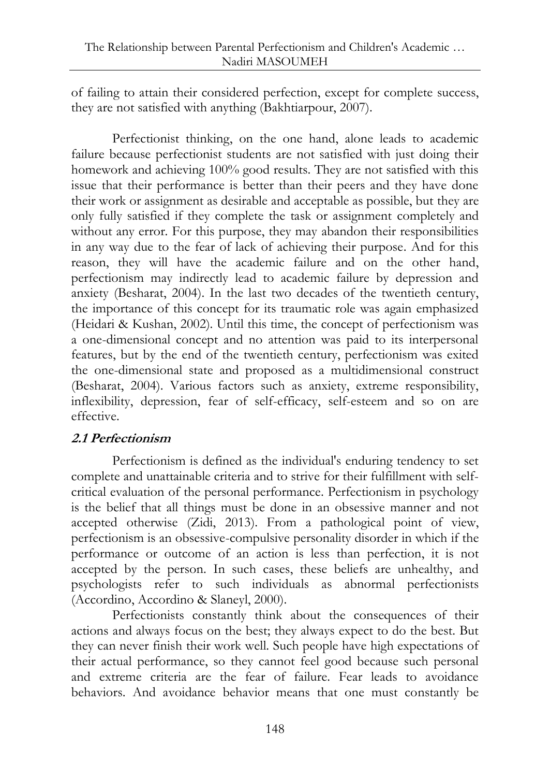of failing to attain their considered perfection, except for complete success, they are not satisfied with anything (Bakhtiarpour, 2007).

Perfectionist thinking, on the one hand, alone leads to academic failure because perfectionist students are not satisfied with just doing their homework and achieving 100% good results. They are not satisfied with this issue that their performance is better than their peers and they have done their work or assignment as desirable and acceptable as possible, but they are only fully satisfied if they complete the task or assignment completely and without any error. For this purpose, they may abandon their responsibilities in any way due to the fear of lack of achieving their purpose. And for this reason, they will have the academic failure and on the other hand, perfectionism may indirectly lead to academic failure by depression and anxiety (Besharat, 2004). In the last two decades of the twentieth century, the importance of this concept for its traumatic role was again emphasized (Heidari & Kushan, 2002). Until this time, the concept of perfectionism was a one-dimensional concept and no attention was paid to its interpersonal features, but by the end of the twentieth century, perfectionism was exited the one-dimensional state and proposed as a multidimensional construct (Besharat, 2004). Various factors such as anxiety, extreme responsibility, inflexibility, depression, fear of self-efficacy, self-esteem and so on are effective.

## **2.1 Perfectionism**

Perfectionism is defined as the individual's enduring tendency to set complete and unattainable criteria and to strive for their fulfillment with selfcritical evaluation of the personal performance. Perfectionism in psychology is the belief that all things must be done in an obsessive manner and not accepted otherwise (Zidi, 2013). From a pathological point of view, perfectionism is an obsessive-compulsive personality disorder in which if the performance or outcome of an action is less than perfection, it is not accepted by the person. In such cases, these beliefs are unhealthy, and psychologists refer to such individuals as abnormal perfectionists (Accordino, Accordino & Slaneyl, 2000).

Perfectionists constantly think about the consequences of their actions and always focus on the best; they always expect to do the best. But they can never finish their work well. Such people have high expectations of their actual performance, so they cannot feel good because such personal and extreme criteria are the fear of failure. Fear leads to avoidance behaviors. And avoidance behavior means that one must constantly be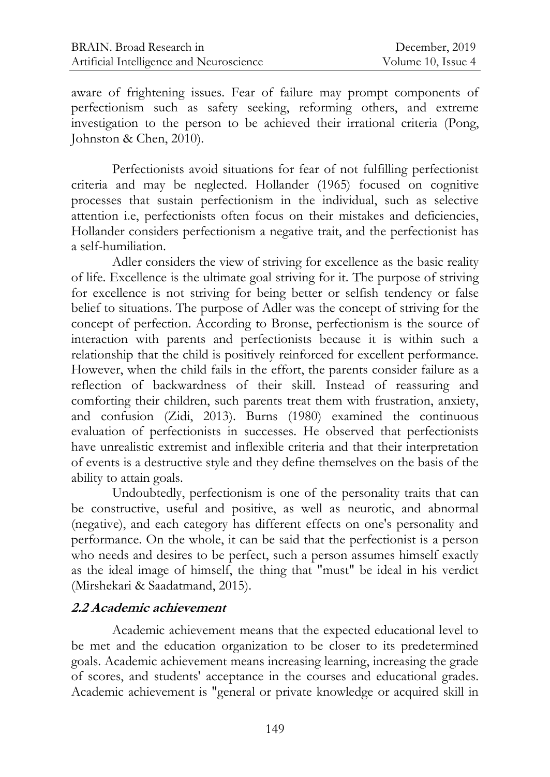aware of frightening issues. Fear of failure may prompt components of perfectionism such as safety seeking, reforming others, and extreme investigation to the person to be achieved their irrational criteria (Pong, Johnston & Chen, 2010).

Perfectionists avoid situations for fear of not fulfilling perfectionist criteria and may be neglected. Hollander (1965) focused on cognitive processes that sustain perfectionism in the individual, such as selective attention i.e, perfectionists often focus on their mistakes and deficiencies, Hollander considers perfectionism a negative trait, and the perfectionist has a self-humiliation.

Adler considers the view of striving for excellence as the basic reality of life. Excellence is the ultimate goal striving for it. The purpose of striving for excellence is not striving for being better or selfish tendency or false belief to situations. The purpose of Adler was the concept of striving for the concept of perfection. According to Bronse, perfectionism is the source of interaction with parents and perfectionists because it is within such a relationship that the child is positively reinforced for excellent performance. However, when the child fails in the effort, the parents consider failure as a reflection of backwardness of their skill. Instead of reassuring and comforting their children, such parents treat them with frustration, anxiety, and confusion (Zidi, 2013). Burns (1980) examined the continuous evaluation of perfectionists in successes. He observed that perfectionists have unrealistic extremist and inflexible criteria and that their interpretation of events is a destructive style and they define themselves on the basis of the ability to attain goals.

Undoubtedly, perfectionism is one of the personality traits that can be constructive, useful and positive, as well as neurotic, and abnormal (negative), and each category has different effects on one's personality and performance. On the whole, it can be said that the perfectionist is a person who needs and desires to be perfect, such a person assumes himself exactly as the ideal image of himself, the thing that "must" be ideal in his verdict (Mirshekari & Saadatmand, 2015).

#### **2.2 Academic achievement**

Academic achievement means that the expected educational level to be met and the education organization to be closer to its predetermined goals. Academic achievement means increasing learning, increasing the grade of scores, and students' acceptance in the courses and educational grades. Academic achievement is "general or private knowledge or acquired skill in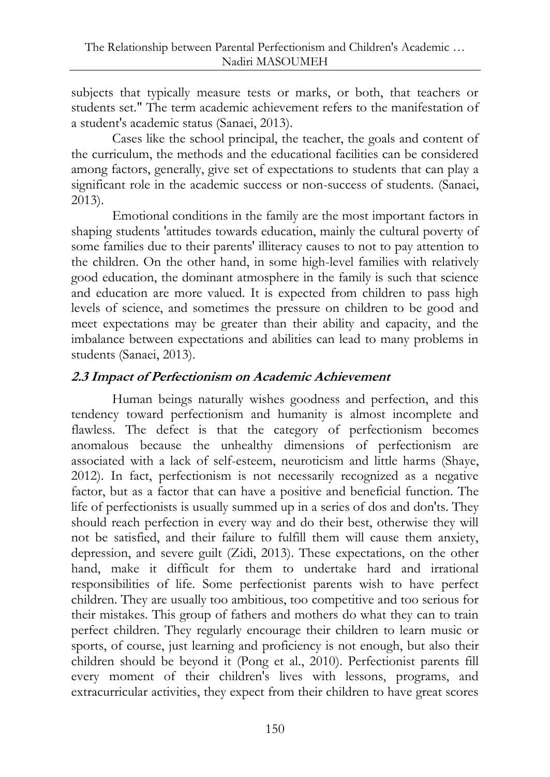subjects that typically measure tests or marks, or both, that teachers or students set." The term academic achievement refers to the manifestation of a student's academic status (Sanaei, 2013).

Cases like the school principal, the teacher, the goals and content of the curriculum, the methods and the educational facilities can be considered among factors, generally, give set of expectations to students that can play a significant role in the academic success or non-success of students. (Sanaei, 2013).

Emotional conditions in the family are the most important factors in shaping students 'attitudes towards education, mainly the cultural poverty of some families due to their parents' illiteracy causes to not to pay attention to the children. On the other hand, in some high-level families with relatively good education, the dominant atmosphere in the family is such that science and education are more valued. It is expected from children to pass high levels of science, and sometimes the pressure on children to be good and meet expectations may be greater than their ability and capacity, and the imbalance between expectations and abilities can lead to many problems in students (Sanaei, 2013).

## **2.3 Impact of Perfectionism on Academic Achievement**

Human beings naturally wishes goodness and perfection, and this tendency toward perfectionism and humanity is almost incomplete and flawless. The defect is that the category of perfectionism becomes anomalous because the unhealthy dimensions of perfectionism are associated with a lack of self-esteem, neuroticism and little harms (Shaye, 2012). In fact, perfectionism is not necessarily recognized as a negative factor, but as a factor that can have a positive and beneficial function. The life of perfectionists is usually summed up in a series of dos and don'ts. They should reach perfection in every way and do their best, otherwise they will not be satisfied, and their failure to fulfill them will cause them anxiety, depression, and severe guilt (Zidi, 2013). These expectations, on the other hand, make it difficult for them to undertake hard and irrational responsibilities of life. Some perfectionist parents wish to have perfect children. They are usually too ambitious, too competitive and too serious for their mistakes. This group of fathers and mothers do what they can to train perfect children. They regularly encourage their children to learn music or sports, of course, just learning and proficiency is not enough, but also their children should be beyond it (Pong et al., 2010). Perfectionist parents fill every moment of their children's lives with lessons, programs, and extracurricular activities, they expect from their children to have great scores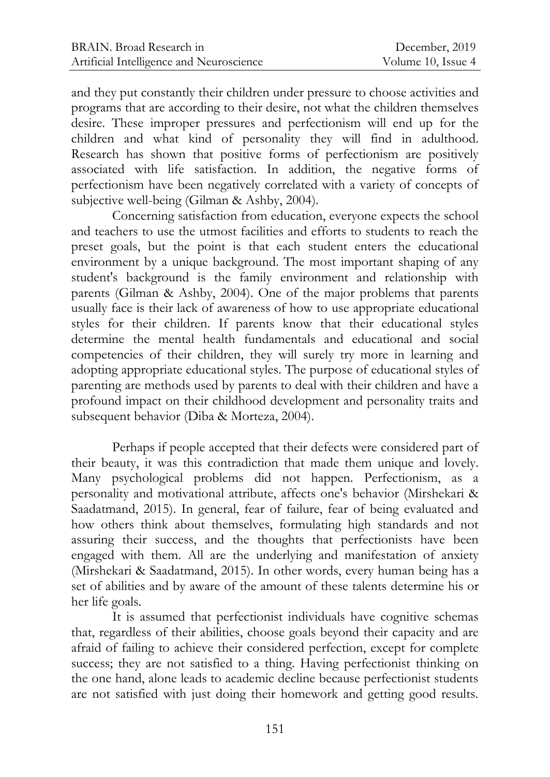and they put constantly their children under pressure to choose activities and programs that are according to their desire, not what the children themselves desire. These improper pressures and perfectionism will end up for the children and what kind of personality they will find in adulthood. Research has shown that positive forms of perfectionism are positively associated with life satisfaction. In addition, the negative forms of perfectionism have been negatively correlated with a variety of concepts of subjective well-being (Gilman & Ashby, 2004).

Concerning satisfaction from education, everyone expects the school and teachers to use the utmost facilities and efforts to students to reach the preset goals, but the point is that each student enters the educational environment by a unique background. The most important shaping of any student's background is the family environment and relationship with parents (Gilman & Ashby, 2004). One of the major problems that parents usually face is their lack of awareness of how to use appropriate educational styles for their children. If parents know that their educational styles determine the mental health fundamentals and educational and social competencies of their children, they will surely try more in learning and adopting appropriate educational styles. The purpose of educational styles of parenting are methods used by parents to deal with their children and have a profound impact on their childhood development and personality traits and subsequent behavior (Diba & Morteza, 2004).

Perhaps if people accepted that their defects were considered part of their beauty, it was this contradiction that made them unique and lovely. Many psychological problems did not happen. Perfectionism, as a personality and motivational attribute, affects one's behavior (Mirshekari & Saadatmand, 2015). In general, fear of failure, fear of being evaluated and how others think about themselves, formulating high standards and not assuring their success, and the thoughts that perfectionists have been engaged with them. All are the underlying and manifestation of anxiety (Mirshekari & Saadatmand, 2015). In other words, every human being has a set of abilities and by aware of the amount of these talents determine his or her life goals.

It is assumed that perfectionist individuals have cognitive schemas that, regardless of their abilities, choose goals beyond their capacity and are afraid of failing to achieve their considered perfection, except for complete success; they are not satisfied to a thing. Having perfectionist thinking on the one hand, alone leads to academic decline because perfectionist students are not satisfied with just doing their homework and getting good results.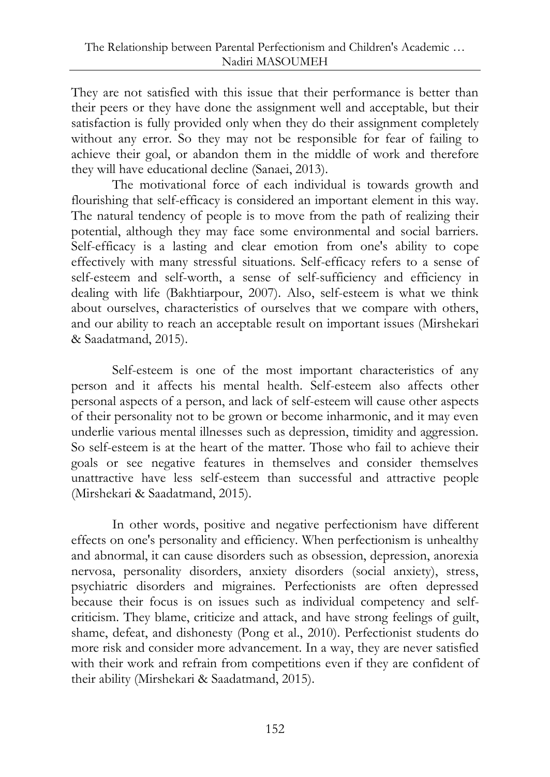They are not satisfied with this issue that their performance is better than their peers or they have done the assignment well and acceptable, but their satisfaction is fully provided only when they do their assignment completely without any error. So they may not be responsible for fear of failing to achieve their goal, or abandon them in the middle of work and therefore they will have educational decline (Sanaei, 2013).

The motivational force of each individual is towards growth and flourishing that self-efficacy is considered an important element in this way. The natural tendency of people is to move from the path of realizing their potential, although they may face some environmental and social barriers. Self-efficacy is a lasting and clear emotion from one's ability to cope effectively with many stressful situations. Self-efficacy refers to a sense of self-esteem and self-worth, a sense of self-sufficiency and efficiency in dealing with life (Bakhtiarpour, 2007). Also, self-esteem is what we think about ourselves, characteristics of ourselves that we compare with others, and our ability to reach an acceptable result on important issues (Mirshekari & Saadatmand, 2015).

Self-esteem is one of the most important characteristics of any person and it affects his mental health. Self-esteem also affects other personal aspects of a person, and lack of self-esteem will cause other aspects of their personality not to be grown or become inharmonic, and it may even underlie various mental illnesses such as depression, timidity and aggression. So self-esteem is at the heart of the matter. Those who fail to achieve their goals or see negative features in themselves and consider themselves unattractive have less self-esteem than successful and attractive people (Mirshekari & Saadatmand, 2015).

In other words, positive and negative perfectionism have different effects on one's personality and efficiency. When perfectionism is unhealthy and abnormal, it can cause disorders such as obsession, depression, anorexia nervosa, personality disorders, anxiety disorders (social anxiety), stress, psychiatric disorders and migraines. Perfectionists are often depressed because their focus is on issues such as individual competency and selfcriticism. They blame, criticize and attack, and have strong feelings of guilt, shame, defeat, and dishonesty (Pong et al., 2010). Perfectionist students do more risk and consider more advancement. In a way, they are never satisfied with their work and refrain from competitions even if they are confident of their ability (Mirshekari & Saadatmand, 2015).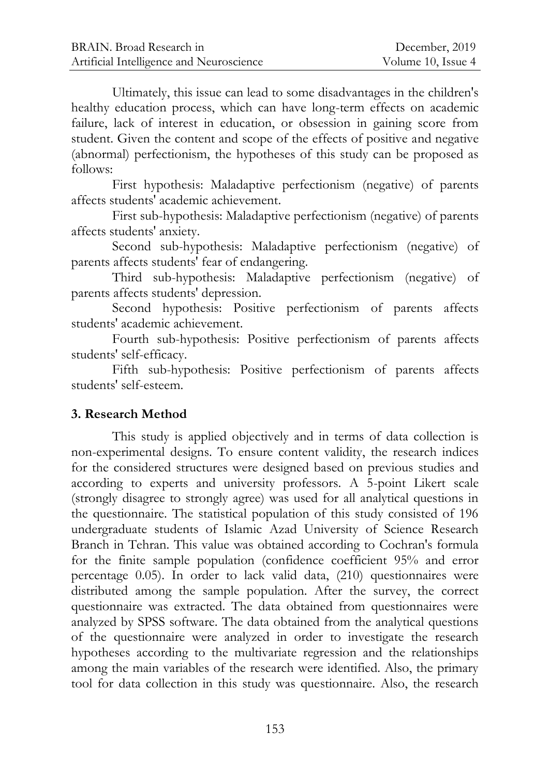Ultimately, this issue can lead to some disadvantages in the children's healthy education process, which can have long-term effects on academic failure, lack of interest in education, or obsession in gaining score from student. Given the content and scope of the effects of positive and negative (abnormal) perfectionism, the hypotheses of this study can be proposed as follows:

First hypothesis: Maladaptive perfectionism (negative) of parents affects students' academic achievement.

First sub-hypothesis: Maladaptive perfectionism (negative) of parents affects students' anxiety.

Second sub-hypothesis: Maladaptive perfectionism (negative) of parents affects students' fear of endangering.

Third sub-hypothesis: Maladaptive perfectionism (negative) of parents affects students' depression.

Second hypothesis: Positive perfectionism of parents affects students' academic achievement.

Fourth sub-hypothesis: Positive perfectionism of parents affects students' self-efficacy.

Fifth sub-hypothesis: Positive perfectionism of parents affects students' self-esteem.

## **3. Research Method**

This study is applied objectively and in terms of data collection is non-experimental designs. To ensure content validity, the research indices for the considered structures were designed based on previous studies and according to experts and university professors. A 5-point Likert scale (strongly disagree to strongly agree) was used for all analytical questions in the questionnaire. The statistical population of this study consisted of 196 undergraduate students of Islamic Azad University of Science Research Branch in Tehran. This value was obtained according to Cochran's formula for the finite sample population (confidence coefficient 95% and error percentage 0.05). In order to lack valid data, (210) questionnaires were distributed among the sample population. After the survey, the correct questionnaire was extracted. The data obtained from questionnaires were analyzed by SPSS software. The data obtained from the analytical questions of the questionnaire were analyzed in order to investigate the research hypotheses according to the multivariate regression and the relationships among the main variables of the research were identified. Also, the primary tool for data collection in this study was questionnaire. Also, the research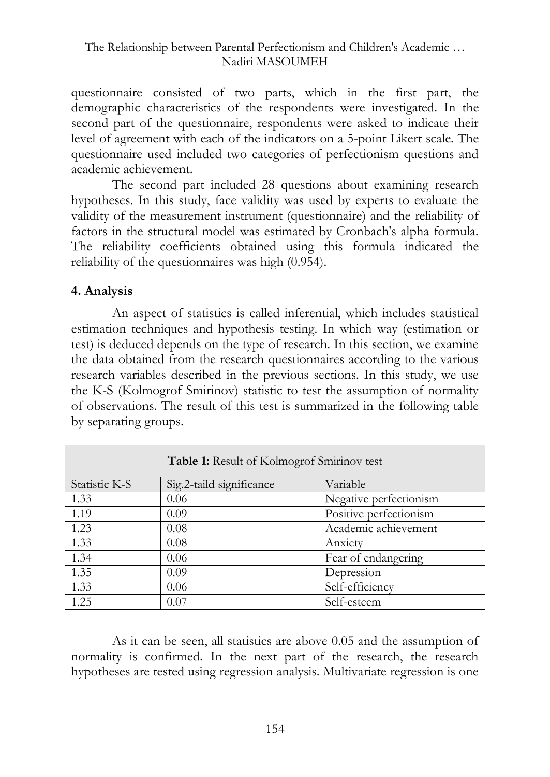questionnaire consisted of two parts, which in the first part, the demographic characteristics of the respondents were investigated. In the second part of the questionnaire, respondents were asked to indicate their level of agreement with each of the indicators on a 5-point Likert scale. The questionnaire used included two categories of perfectionism questions and academic achievement.

The second part included 28 questions about examining research hypotheses. In this study, face validity was used by experts to evaluate the validity of the measurement instrument (questionnaire) and the reliability of factors in the structural model was estimated by Cronbach's alpha formula. The reliability coefficients obtained using this formula indicated the reliability of the questionnaires was high (0.954).

## **4. Analysis**

An aspect of statistics is called inferential, which includes statistical estimation techniques and hypothesis testing. In which way (estimation or test) is deduced depends on the type of research. In this section, we examine the data obtained from the research questionnaires according to the various research variables described in the previous sections. In this study, we use the K-S (Kolmogrof Smirinov) statistic to test the assumption of normality of observations. The result of this test is summarized in the following table by separating groups.

| <b>Table 1:</b> Result of Kolmogrof Smirinov test |                          |                        |  |  |
|---------------------------------------------------|--------------------------|------------------------|--|--|
| Statistic K-S                                     | Sig.2-taild significance | Variable               |  |  |
| 1.33                                              | 0.06                     | Negative perfectionism |  |  |
| 1.19                                              | 0.09                     | Positive perfectionism |  |  |
| 1.23                                              | 0.08                     | Academic achievement   |  |  |
| 1.33                                              | 0.08                     | Anxiety                |  |  |
| 1.34                                              | 0.06                     | Fear of endangering    |  |  |
| 1.35                                              | 0.09                     | Depression             |  |  |
| 1.33                                              | 0.06                     | Self-efficiency        |  |  |
| 1.25                                              | 0.07                     | Self-esteem            |  |  |

As it can be seen, all statistics are above 0.05 and the assumption of normality is confirmed. In the next part of the research, the research hypotheses are tested using regression analysis. Multivariate regression is one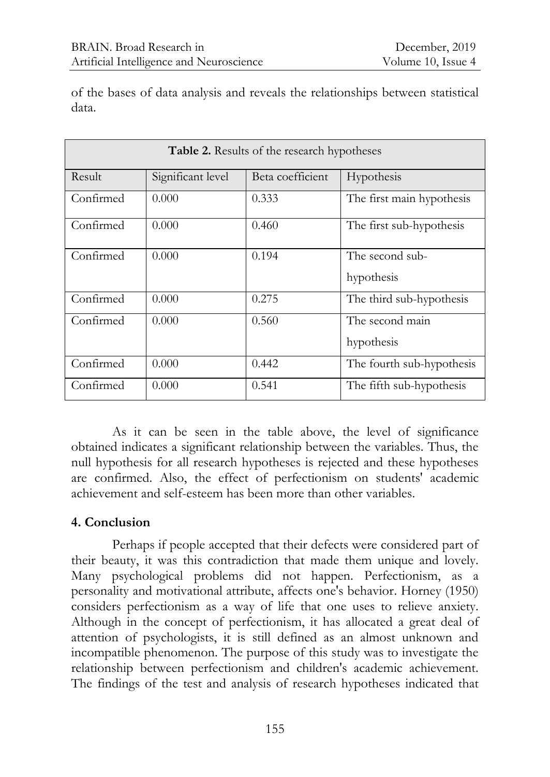of the bases of data analysis and reveals the relationships between statistical data.

| <b>Table 2.</b> Results of the research hypotheses |                   |                  |                               |  |
|----------------------------------------------------|-------------------|------------------|-------------------------------|--|
| Result                                             | Significant level | Beta coefficient | Hypothesis                    |  |
| Confirmed                                          | 0.000             | 0.333            | The first main hypothesis     |  |
| Confirmed                                          | 0.000             | 0.460            | The first sub-hypothesis      |  |
| Confirmed                                          | 0.000             | 0.194            | The second sub-<br>hypothesis |  |
| Confirmed                                          | 0.000             | 0.275            | The third sub-hypothesis      |  |
| Confirmed                                          | 0.000             | 0.560            | The second main<br>hypothesis |  |
| Confirmed                                          | 0.000             | 0.442            | The fourth sub-hypothesis     |  |
| Confirmed                                          | 0.000             | 0.541            | The fifth sub-hypothesis      |  |

As it can be seen in the table above, the level of significance obtained indicates a significant relationship between the variables. Thus, the null hypothesis for all research hypotheses is rejected and these hypotheses are confirmed. Also, the effect of perfectionism on students' academic achievement and self-esteem has been more than other variables.

## **4. Conclusion**

Perhaps if people accepted that their defects were considered part of their beauty, it was this contradiction that made them unique and lovely. Many psychological problems did not happen. Perfectionism, as a personality and motivational attribute, affects one's behavior. Horney (1950) considers perfectionism as a way of life that one uses to relieve anxiety. Although in the concept of perfectionism, it has allocated a great deal of attention of psychologists, it is still defined as an almost unknown and incompatible phenomenon. The purpose of this study was to investigate the relationship between perfectionism and children's academic achievement. The findings of the test and analysis of research hypotheses indicated that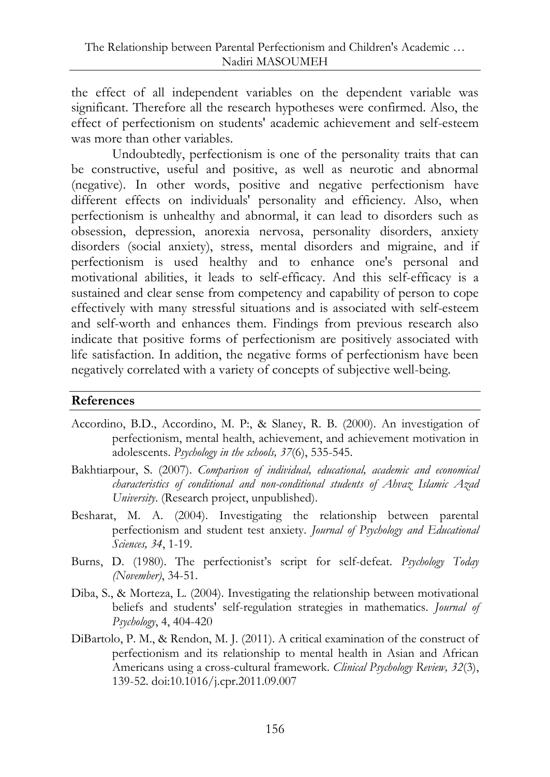the effect of all independent variables on the dependent variable was significant. Therefore all the research hypotheses were confirmed. Also, the effect of perfectionism on students' academic achievement and self-esteem was more than other variables.

Undoubtedly, perfectionism is one of the personality traits that can be constructive, useful and positive, as well as neurotic and abnormal (negative). In other words, positive and negative perfectionism have different effects on individuals' personality and efficiency. Also, when perfectionism is unhealthy and abnormal, it can lead to disorders such as obsession, depression, anorexia nervosa, personality disorders, anxiety disorders (social anxiety), stress, mental disorders and migraine, and if perfectionism is used healthy and to enhance one's personal and motivational abilities, it leads to self-efficacy. And this self-efficacy is a sustained and clear sense from competency and capability of person to cope effectively with many stressful situations and is associated with self-esteem and self-worth and enhances them. Findings from previous research also indicate that positive forms of perfectionism are positively associated with life satisfaction. In addition, the negative forms of perfectionism have been negatively correlated with a variety of concepts of subjective well-being.

#### **References**

- Accordino, B.D., Accordino, M. P:, & Slaney, R. B. (2000). An investigation of perfectionism, mental health, achievement, and achievement motivation in adolescents. *Psychology in the schools, 37*(6), 535-545.
- Bakhtiarpour, S. (2007). *Comparison of individual, educational, academic and economical characteristics of conditional and non-conditional students of Ahvaz Islamic Azad University*. (Research project, unpublished).
- Besharat, M. A. (2004). Investigating the relationship between parental perfectionism and student test anxiety. *Journal of Psychology and Educational Sciences, 34*, 1-19.
- Burns, D. (1980). The perfectionist's script for self-defeat. *Psychology Today (November)*, 34-51.
- Diba, S., & Morteza, L. (2004). Investigating the relationship between motivational beliefs and students' self-regulation strategies in mathematics. *Journal of Psychology*, 4, 404-420
- DiBartolo, P. M., & Rendon, M. J. (2011). A critical examination of the construct of perfectionism and its relationship to mental health in Asian and African Americans using a cross-cultural framework. *Clinical Psychology Review, 32*(3), 139-52. doi:10.1016/j.cpr.2011.09.007